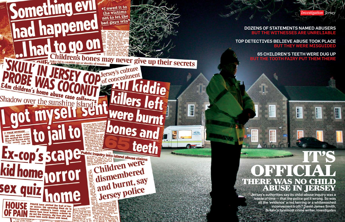*Investigation Jersey*



Jersey's authorities say its child-abuse inquiry was a waste of time — that the police got it wrong. So was all the 'evidence' a red herring or a whitewashed inconvenient truth? David James Smith,

### TOP DETECTIVES BELIEVE ABUSE TOOK PLACE BUT THEY WERE MISGUIDED

## 65 CHILDREN'S TEETH WERE DUG UP BUT THE TOOTH FAIRY PUT THEM THERE

# **THERE WAS NO CHILD<br>ABUSE IN JERSEY ABUSE IN** IT'S OFFICIAL

DOZENS OF STATEMENTS NAMED ABUSERS BUT THE WITNESSES ARE UNRELIABLE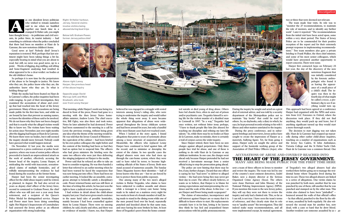as one dissident Jersey politician who wished to remain nameless said to me when we huddled together one lunch time in a cramped St Helier cafe, you might have thought Jersey – its politicians and civil servants, its police force, its tourist industry  $-$  had

something to celebrate when the police concluded that there had been no murders at Haut de la Garenne, the now-notorious children's home.

Good news at last! Nobody died! Jersey's reputation is restored. Well, perhaps that last sentiment might have been taking things a bit far, especially bearing in mind what you are about to read, but still, no news was good news, up to a point... Weeks of digging, dog sniffing, soil sifting and bone-fragment analysing had resulted in what appeared to be a clear verdict: no bodies at the old children's home.

So perhaps it is now time for the perpetrators of the abuse to be brought to justice. We know who they are, the police know who they are, the authorities know who they are. So what is holding things up?

While the media had been fixated on Haut de

Harper had been the senior investigating officer for the child-abuse inquiry until he retired, as planned, in August. He had also served six years as deputy chief officer of the Jersey force, second in command to Graham Power, the chief officer who was still just over a year away from retirement, and a recipient of the Queen's Police Medal for distinguished service. Harper and Power must have been doing something right: Her Majesty's Inspectorate of Constabulary had assessed the Jersey police as an efficient 48 organisation with strong leadership.

la Garenne's cellars, the police inquiries had been wide-ranging. As part of their investigation, they examined the accusations of abuse and coverup that had reached into the heart of the Jersey government. Many of those accusations are being made public for the first time here, and while we are bound by laws that prevent us naming names, we know the identities of those said to be involved. We do not know why they have not been charged. and that is exactly what the alleged victims would like to know too. The victims have been waiting for action since November, just over eight months after the digging had begun at Haut de la Garenne. We know there were no bodies, but it still seemed the inquiry should move forward. Nobody could have guessed what would happen instead.

On November 12 last year, the media were summoned to a press conference at police headquarters, where one team of senior police officers proceeded to launch an unprecedented attack on the work of another, effectively accusing the former head of the inquiry, Lenny Harper, of misleading the world with inaccurate, sensationalised claims of multiple homicides, and of wilfully misrepresenting the evidence he had found during the searches at the former home.

When I looked at the story again, I found allegations that point to years of systematic abuse among a loose structure of suspected abusers. Meanwhile, the officers who replaced Lenny Harper have continued to brief against him, off the record, and to minimise or downplay the extent of the claims. In two specific cases the alleged abusers were men who had risen up through the care-home system, where they were said to have ruled by terror, to become highranking officials of the States of Jersey. Both men stand accused of numerous assaults. The Sunday Times Magazine knows their identities — half of Jersey knows who they are — but we are forced by law to protect them from public exposure.

That morning, while Harper's work was being traduced in front of the press, Power had gone to a meeting with the then Jersey States homeaffairs minister, Andrew Lewis. The chief executive, Bill Ogley, was also there and took notes. Notes he later admitted he had destroyed. Power had been summoned to the meeting in a call by Lewis the previous evening, without being given any idea what the theme of the meeting would be. He was told that the Jersey Council of Ministers the equivalent of the cabinet — had been briefed by his own police colleagues the night before and the content of the briefing had been so bad they had no option but to suspend him. The officers who had given ministers the briefing were the same two officers who were just then delivering the stinging judgment on Harper to the media.

Since Harper retired, there have been no new charges against alleged perpetrators. Only three people face trial for abuse, and one of those is nothing to do with Haut de la Garenne or any childcare institution. In one case, the charges went ahead only because Harper pretended he had not received a last-minute message from a senior official trying to stop the prosecution going ahead.

During the inquiry he sought and acted on a great deal of external advice, and was told by a security department of the Metropolitan police not to maintain "day books" that could be read by others. So, no daybooks, only a diary in which, he says, he kept personal records relating to his wife's illness and other matters unrelated to the inquiry. During the press conference, and in subsequent briefings and interviews, Jersey police have sought to create the impression of Harper as a maverick, bullying figure. Yet, far from going it alone, Harper early on sought the advice and support of the homicide working group of the Association of Chief Police Officers (Acpo), who

Power said that he refused an offer to take an hour to consider resigning. He was then handed a letter that referred to an earlier meeting when he had been warned he faced the suspension that was now being put into effect. There had been no earlier meeting. It looked like an unsubtle, outrageous attempt to belatedly satisfy a disciplinary code. Power returned home and was still there at the time of writing this article; he has just won the right to have a judicial review of his suspension.

I had written in detail about the child-abuse inquiry last year. I had never given much credence to the more lurid tales of possible homicides, mainly because I had been counselled against them by Lenny Harper. There were no missing children, he said, clearly and often, and there was no evidence of murder. I knew, too, that Harper



sent a team of three officers to Jersey to monitor and review the inquiry. The team was led by one of the country's most eminent detectives, André Baker, now a deputy director at the Serious Organised Crime Agency (Soca). The others were Anne Harrison and John Mooney of the National Policing Improvement Agency (NPIA). If you mention this team to the new Jersey police, they will say they were not there to review the inquiry and only had a limited role. This, so far as I can tell, is not true. I have seen the team's terms of reference, and they clearly state that its role was to "quality assure" the investigation. They did indeed make many recommendations, and all were implemented except, by mutual agreement,

believed he was engaged in a struggle with vested interests among Jersey's ruling elite, who were trying to undermine the inquiry and would rather the whole thing went away. It soon became apparent that allegations of abuse were widespread throughout the Jersey childcare system and had been around for years, but only a handful of the most blatant cases had ever reached court.

Harper first contacted Acpo on February 23 last year, the day of the discovery of the now

of Tregaskis's two alleged abusers had also worked there before going on to manage the residential home where Tregaskis lived during his time in care. Those two alleged abusers are linked to a series of allegations. One victim claims he was punched by both men; another that he was punched by one of them; still another that he was punched and stamped on by the other man. This victim also claimed to have been "pinballed" bounced around the walls of that official's office  $-$  by that official, punched to the floor by the other man, assaulted by both regularly. He also witnessed the second man hit another boy, now dead, with a cane so hard that he drew blood. Another resident saw someone assaulted by  $\ggg$  49

One among many of the two men's alleged victims is Rickie Tregaskis, who claims to have been subjected to endless assaults and abuses while a teenager in a Jersey care home: being made to lie naked on a mattress every night for two weeks in front of a female member of staff; being made to stand in the dining room while one of the men poured food over his head; repeatedly punched and knocked about by that same man, and once having his nose broken by him. At least three of Tregaskis's peers from the home commit-

ted suicide or died young of drug abuse. Others have led chaotic lives, often in and out of prison and/or psychiatric care. Tregaskis himself is serving life for the violent murder of a disabled man in Cornwall in 1997. "In a way," Tregaskis had once written, not without bitter irony perhaps, "I have to thank people like him [his abuser] for teaching me discipline and refining my later life talents." So, while there may be no bodies at Haut de la Garenne, make no mistake, there is certainly a trail of corpses across the wider inquiry.

The police are now hinting that there may be few, if any, further charges. I heard that one officer is saying he has "bad news" to deliver to alleged victims — the bad news being they may never get their day in court. The officer clearly believes, or wants us to believe, that Harper is to blame for raising expectations and misrepresenting the evidence and the scale of the abuse. Is this true — or are Harper and Power being made scapegoats?

The claims of misconduct, incompetence and self-interest against Harper are so many that it is difficult to know where to start. His replacements certainly have it in for him, letting it be known they think he has lied and jeopardised future prosecutions with his public pronouncements.

two or three that were deemed not relevant.

The team made four visits. Its role was to "monitor the 27 recommendations, to maintain the role of mentors, and to identify any further work". Later it reported: "The recommendations from the initial visit have been acted upon, some within a very short period. The States of Jersey Police are to be commended for their positive reception of the report and for their extremely prompt response in implementing recommendations." Two team members also gave a private briefing to Frank Walker, the then chief minister, and some of his most senior colleagues, which would have presented another opportunity to report concerns. There were none.

> notorious fragment that was initially considered by the forensic anthropologist who found it as having the appearance of a small piece of a child's skull. The inquiry was then in the fourth day of what might be called a recce, a preliminary dig to see if anything would turn up.

This approach had been agreed at a conference Harper had organised with the NPIA and scientists from LGC Forensics in Oxford, where the discussion took place. If they did not find anything, they would pack up and leave, but if anything significant turned up they would start a more thorough search.

The decision to start digging was not taken idly. Haut de la Garenne had cropped up repeatedly during other earlier child-abuse inquiries, touching on a number of organisations such as the Jersey Sea Cadets, St John Ambulance, Victoria College and the St Helier Yacht Club. Haut de la Garenne was a common thread. One

**Above right: Lenny Harper, the previous head of the abuse inquiry**

**Opposite page: David Warcup (left) and Mick Gradwell, who took over from Lenny Harper** 

**Right: St Helier harbour, Jersey. Several claims involve victims being abused during boat trips** 

**Below left: Graham Power, former Jersey police chief**



### ACCUSATIONS OF ABUSE AND COVER-UP REACHED INTO THE HEART OF THE JERSEY GOVERNMENT. MANY ARE BEING MADE PUBLIC FOR THE FIRST TIME HERE